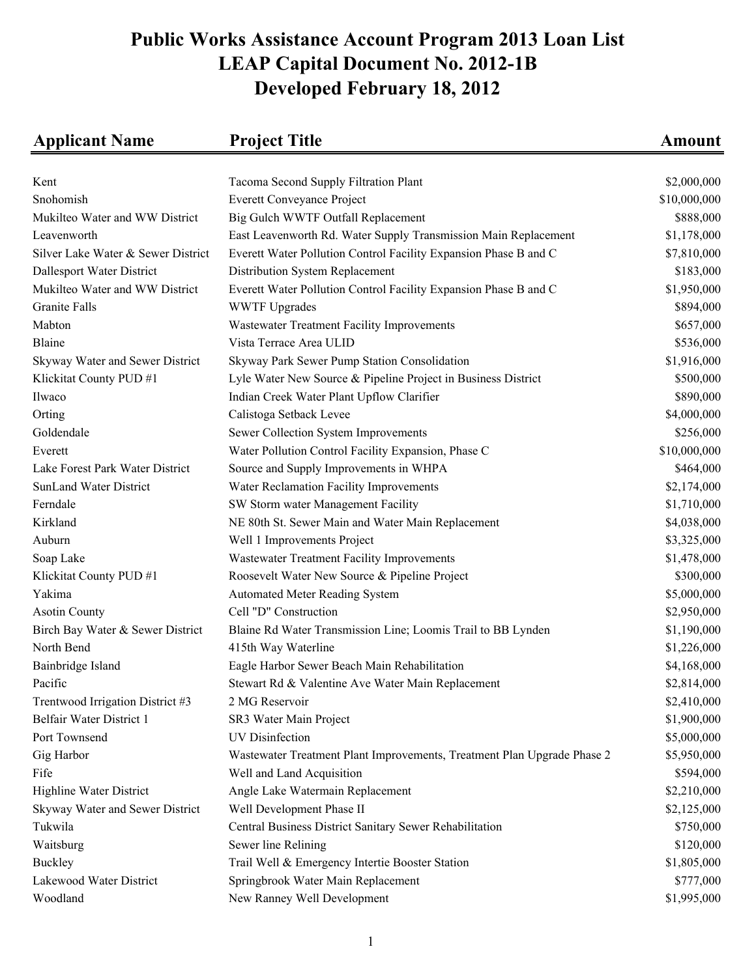## **Public Works Assistance Account Program 2013 Loan List LEAP Capital Document No. 2012-1B Developed February 18, 2012**

| <b>Applicant Name</b>              | <b>Project Title</b>                                                    | <b>Amount</b> |
|------------------------------------|-------------------------------------------------------------------------|---------------|
|                                    |                                                                         |               |
| Kent                               | Tacoma Second Supply Filtration Plant                                   | \$2,000,000   |
| Snohomish                          | <b>Everett Conveyance Project</b>                                       | \$10,000,000  |
| Mukilteo Water and WW District     | Big Gulch WWTF Outfall Replacement                                      | \$888,000     |
| Leavenworth                        | East Leavenworth Rd. Water Supply Transmission Main Replacement         | \$1,178,000   |
| Silver Lake Water & Sewer District | Everett Water Pollution Control Facility Expansion Phase B and C        | \$7,810,000   |
| Dallesport Water District          | Distribution System Replacement                                         | \$183,000     |
| Mukilteo Water and WW District     | Everett Water Pollution Control Facility Expansion Phase B and C        | \$1,950,000   |
| <b>Granite Falls</b>               | <b>WWTF Upgrades</b>                                                    | \$894,000     |
| Mabton                             | Wastewater Treatment Facility Improvements                              | \$657,000     |
| Blaine                             | Vista Terrace Area ULID                                                 | \$536,000     |
| Skyway Water and Sewer District    | Skyway Park Sewer Pump Station Consolidation                            | \$1,916,000   |
| Klickitat County PUD #1            | Lyle Water New Source & Pipeline Project in Business District           | \$500,000     |
| Ilwaco                             | Indian Creek Water Plant Upflow Clarifier                               | \$890,000     |
| Orting                             | Calistoga Setback Levee                                                 | \$4,000,000   |
| Goldendale                         | Sewer Collection System Improvements                                    | \$256,000     |
| Everett                            | Water Pollution Control Facility Expansion, Phase C                     | \$10,000,000  |
| Lake Forest Park Water District    | Source and Supply Improvements in WHPA                                  | \$464,000     |
| <b>SunLand Water District</b>      | Water Reclamation Facility Improvements                                 | \$2,174,000   |
| Ferndale                           | SW Storm water Management Facility                                      | \$1,710,000   |
| Kirkland                           | NE 80th St. Sewer Main and Water Main Replacement                       | \$4,038,000   |
| Auburn                             | Well 1 Improvements Project                                             | \$3,325,000   |
| Soap Lake                          | Wastewater Treatment Facility Improvements                              | \$1,478,000   |
| Klickitat County PUD #1            | Roosevelt Water New Source & Pipeline Project                           | \$300,000     |
| Yakima                             | <b>Automated Meter Reading System</b>                                   | \$5,000,000   |
| <b>Asotin County</b>               | Cell "D" Construction                                                   | \$2,950,000   |
| Birch Bay Water & Sewer District   | Blaine Rd Water Transmission Line; Loomis Trail to BB Lynden            | \$1,190,000   |
| North Bend                         | 415th Way Waterline                                                     | \$1,226,000   |
| Bainbridge Island                  | Eagle Harbor Sewer Beach Main Rehabilitation                            | \$4,168,000   |
| Pacific                            | Stewart Rd & Valentine Ave Water Main Replacement                       | \$2,814,000   |
| Trentwood Irrigation District #3   | 2 MG Reservoir                                                          | \$2,410,000   |
| Belfair Water District 1           | SR3 Water Main Project                                                  | \$1,900,000   |
| Port Townsend                      | <b>UV</b> Disinfection                                                  | \$5,000,000   |
| Gig Harbor                         | Wastewater Treatment Plant Improvements, Treatment Plan Upgrade Phase 2 | \$5,950,000   |
| Fife                               | Well and Land Acquisition                                               | \$594,000     |
| Highline Water District            | Angle Lake Watermain Replacement                                        | \$2,210,000   |
| Skyway Water and Sewer District    | Well Development Phase II                                               | \$2,125,000   |
| Tukwila                            | Central Business District Sanitary Sewer Rehabilitation                 | \$750,000     |
| Waitsburg                          | Sewer line Relining                                                     | \$120,000     |
| <b>Buckley</b>                     | Trail Well & Emergency Intertie Booster Station                         | \$1,805,000   |
| Lakewood Water District            | Springbrook Water Main Replacement                                      | \$777,000     |
| Woodland                           | New Ranney Well Development                                             | \$1,995,000   |
|                                    |                                                                         |               |